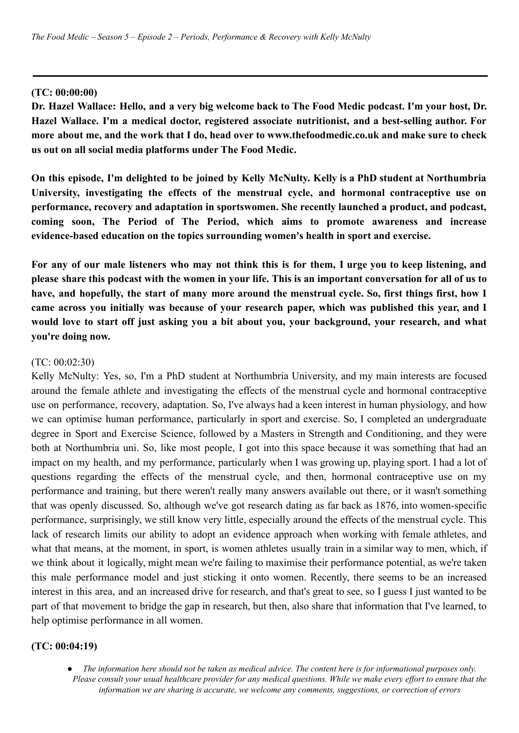## **(TC: 00:00:00)**

Dr. Hazel Wallace: Hello, and a very big welcome back to The Food Medic podcast. I'm your host, Dr. **Hazel Wallace. I'm a medical doctor, registered associate nutritionist, and a best-selling author. For more about me, and the work that I do, head over to www.thefoodmedic.co.uk and make sure to check us out on all social media platforms under The Food Medic.**

On this episode, I'm delighted to be joined by Kelly McNulty, Kelly is a PhD student at Northumbria **University, investigating the effects of the menstrual cycle, and hormonal contraceptive use on performance, recovery and adaptation in sportswomen. She recently launched a product, and podcast, coming soon, The Period of The Period, which aims to promote awareness and increase evidence-based education on the topics surrounding women's health in sport and exercise.**

For any of our male listeners who may not think this is for them, I urge you to keep listening, and please share this podcast with the women in your life. This is an important conversation for all of us to have, and hopefully, the start of many more around the menstrual cycle. So, first things first, how I **came across you initially was because of your research paper, which was published this year, and I would love to start off just asking you a bit about you, your background, your research, and what you're doing now.**

## (TC: 00:02:30)

Kelly McNulty: Yes, so, I'm a PhD student at Northumbria University, and my main interests are focused around the female athlete and investigating the effects of the menstrual cycle and hormonal contraceptive use on performance, recovery, adaptation. So, I've always had a keen interest in human physiology, and how we can optimise human performance, particularly in sport and exercise. So, I completed an undergraduate degree in Sport and Exercise Science, followed by a Masters in Strength and Conditioning, and they were both at Northumbria uni. So, like most people, I got into this space because it was something that had an impact on my health, and my performance, particularly when I was growing up, playing sport. I had a lot of questions regarding the effects of the menstrual cycle, and then, hormonal contraceptive use on my performance and training, but there weren't really many answers available out there, or it wasn't something that was openly discussed. So, although we've got research dating as far back as 1876, into women-specific performance, surprisingly, we still know very little, especially around the effects of the menstrual cycle. This lack of research limits our ability to adopt an evidence approach when working with female athletes, and what that means, at the moment, in sport, is women athletes usually train in a similar way to men, which, if we think about it logically, might mean we're failing to maximise their performance potential, as we're taken this male performance model and just sticking it onto women. Recently, there seems to be an increased interest in this area, and an increased drive for research, and that's great to see, so I guess I just wanted to be part of that movement to bridge the gap in research, but then, also share that information that I've learned, to help optimise performance in all women.

#### **(TC: 00:04:19)**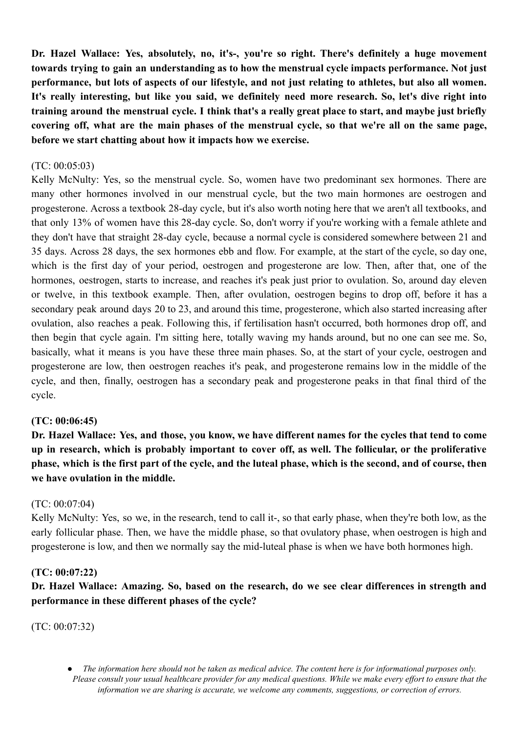**Dr. Hazel Wallace: Yes, absolutely, no, it's-, you're so right. There's definitely a huge movement towards trying to gain an understanding as to how the menstrual cycle impacts performance. Not just** performance, but lots of aspects of our lifestyle, and not just relating to athletes, but also all women. **It's really interesting, but like you said, we definitely need more research. So, let's dive right into** training around the menstrual cycle. I think that's a really great place to start, and maybe just briefly covering off, what are the main phases of the menstrual cycle, so that we're all on the same page, **before we start chatting about how it impacts how we exercise.**

### (TC: 00:05:03)

Kelly McNulty: Yes, so the menstrual cycle. So, women have two predominant sex hormones. There are many other hormones involved in our menstrual cycle, but the two main hormones are oestrogen and progesterone. Across a textbook 28-day cycle, but it's also worth noting here that we aren't all textbooks, and that only 13% of women have this 28-day cycle. So, don't worry if you're working with a female athlete and they don't have that straight 28-day cycle, because a normal cycle is considered somewhere between 21 and 35 days. Across 28 days, the sex hormones ebb and flow. For example, at the start of the cycle, so day one, which is the first day of your period, oestrogen and progesterone are low. Then, after that, one of the hormones, oestrogen, starts to increase, and reaches it's peak just prior to ovulation. So, around day eleven or twelve, in this textbook example. Then, after ovulation, oestrogen begins to drop off, before it has a secondary peak around days 20 to 23, and around this time, progesterone, which also started increasing after ovulation, also reaches a peak. Following this, if fertilisation hasn't occurred, both hormones drop off, and then begin that cycle again. I'm sitting here, totally waving my hands around, but no one can see me. So, basically, what it means is you have these three main phases. So, at the start of your cycle, oestrogen and progesterone are low, then oestrogen reaches it's peak, and progesterone remains low in the middle of the cycle, and then, finally, oestrogen has a secondary peak and progesterone peaks in that final third of the cycle.

#### **(TC: 00:06:45)**

Dr. Hazel Wallace: Yes, and those, you know, we have different names for the cycles that tend to come **up in research, which is probably important to cover off, as well. The follicular, or the proliferative** phase, which is the first part of the cycle, and the luteal phase, which is the second, and of course, then **we have ovulation in the middle.**

### (TC: 00:07:04)

Kelly McNulty: Yes, so we, in the research, tend to call it-, so that early phase, when they're both low, as the early follicular phase. Then, we have the middle phase, so that ovulatory phase, when oestrogen is high and progesterone is low, and then we normally say the mid-luteal phase is when we have both hormones high.

#### **(TC: 00:07:22)**

**Dr. Hazel Wallace: Amazing. So, based on the research, do we see clear differences in strength and performance in these different phases of the cycle?**

(TC: 00:07:32)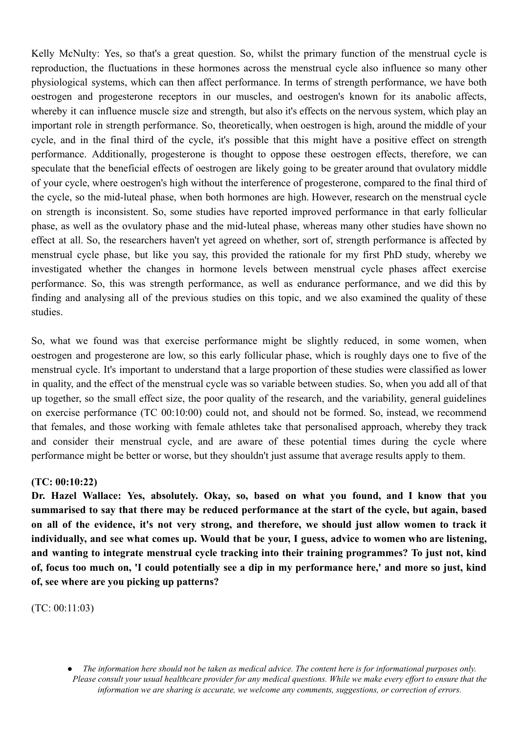Kelly McNulty: Yes, so that's a great question. So, whilst the primary function of the menstrual cycle is reproduction, the fluctuations in these hormones across the menstrual cycle also influence so many other physiological systems, which can then affect performance. In terms of strength performance, we have both oestrogen and progesterone receptors in our muscles, and oestrogen's known for its anabolic affects, whereby it can influence muscle size and strength, but also it's effects on the nervous system, which play an important role in strength performance. So, theoretically, when oestrogen is high, around the middle of your cycle, and in the final third of the cycle, it's possible that this might have a positive effect on strength performance. Additionally, progesterone is thought to oppose these oestrogen effects, therefore, we can speculate that the beneficial effects of oestrogen are likely going to be greater around that ovulatory middle of your cycle, where oestrogen's high without the interference of progesterone, compared to the final third of the cycle, so the mid-luteal phase, when both hormones are high. However, research on the menstrual cycle on strength is inconsistent. So, some studies have reported improved performance in that early follicular phase, as well as the ovulatory phase and the mid-luteal phase, whereas many other studies have shown no effect at all. So, the researchers haven't yet agreed on whether, sort of, strength performance is affected by menstrual cycle phase, but like you say, this provided the rationale for my first PhD study, whereby we investigated whether the changes in hormone levels between menstrual cycle phases affect exercise performance. So, this was strength performance, as well as endurance performance, and we did this by finding and analysing all of the previous studies on this topic, and we also examined the quality of these studies.

So, what we found was that exercise performance might be slightly reduced, in some women, when oestrogen and progesterone are low, so this early follicular phase, which is roughly days one to five of the menstrual cycle. It's important to understand that a large proportion of these studies were classified as lower in quality, and the effect of the menstrual cycle was so variable between studies. So, when you add all of that up together, so the small effect size, the poor quality of the research, and the variability, general guidelines on exercise performance (TC 00:10:00) could not, and should not be formed. So, instead, we recommend that females, and those working with female athletes take that personalised approach, whereby they track and consider their menstrual cycle, and are aware of these potential times during the cycle where performance might be better or worse, but they shouldn't just assume that average results apply to them.

## **(TC: 00:10:22)**

**Dr. Hazel Wallace: Yes, absolutely. Okay, so, based on what you found, and I know that you** summarised to say that there may be reduced performance at the start of the cycle, but again, based on all of the evidence, it's not very strong, and therefore, we should just allow women to track it individually, and see what comes up. Would that be your, I guess, advice to women who are listening, **and wanting to integrate menstrual cycle tracking into their training programmes? To just not, kind** of, focus too much on, 'I could potentially see a dip in my performance here,' and more so just, kind **of, see where are you picking up patterns?**

(TC: 00:11:03)

The information here should not be taken as medical advice. The content here is for informational purposes only. Please consult your usual healthcare provider for any medical questions. While we make every effort to ensure that the *information we are sharing is accurate, we welcome any comments, suggestions, or correction of errors.*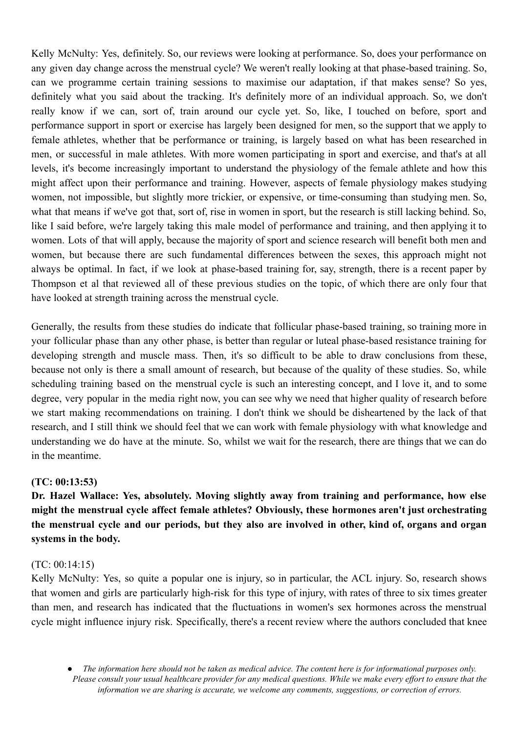Kelly McNulty: Yes, definitely. So, our reviews were looking at performance. So, does your performance on any given day change across the menstrual cycle? We weren't really looking at that phase-based training. So, can we programme certain training sessions to maximise our adaptation, if that makes sense? So yes, definitely what you said about the tracking. It's definitely more of an individual approach. So, we don't really know if we can, sort of, train around our cycle yet. So, like, I touched on before, sport and performance support in sport or exercise has largely been designed for men, so the support that we apply to female athletes, whether that be performance or training, is largely based on what has been researched in men, or successful in male athletes. With more women participating in sport and exercise, and that's at all levels, it's become increasingly important to understand the physiology of the female athlete and how this might affect upon their performance and training. However, aspects of female physiology makes studying women, not impossible, but slightly more trickier, or expensive, or time-consuming than studying men. So, what that means if we've got that, sort of, rise in women in sport, but the research is still lacking behind. So, like I said before, we're largely taking this male model of performance and training, and then applying it to women. Lots of that will apply, because the majority of sport and science research will benefit both men and women, but because there are such fundamental differences between the sexes, this approach might not always be optimal. In fact, if we look at phase-based training for, say, strength, there is a recent paper by Thompson et al that reviewed all of these previous studies on the topic, of which there are only four that have looked at strength training across the menstrual cycle.

Generally, the results from these studies do indicate that follicular phase-based training, so training more in your follicular phase than any other phase, is better than regular or luteal phase-based resistance training for developing strength and muscle mass. Then, it's so difficult to be able to draw conclusions from these, because not only is there a small amount of research, but because of the quality of these studies. So, while scheduling training based on the menstrual cycle is such an interesting concept, and I love it, and to some degree, very popular in the media right now, you can see why we need that higher quality of research before we start making recommendations on training. I don't think we should be disheartened by the lack of that research, and I still think we should feel that we can work with female physiology with what knowledge and understanding we do have at the minute. So, whilst we wait for the research, there are things that we can do in the meantime.

## **(TC: 00:13:53)**

**Dr. Hazel Wallace: Yes, absolutely. Moving slightly away from training and performance, how else might the menstrual cycle affect female athletes? Obviously, these hormones aren't just orchestrating** the menstrual cycle and our periods, but they also are involved in other, kind of, organs and organ **systems in the body.**

## (TC: 00:14:15)

Kelly McNulty: Yes, so quite a popular one is injury, so in particular, the ACL injury. So, research shows that women and girls are particularly high-risk for this type of injury, with rates of three to six times greater than men, and research has indicated that the fluctuations in women's sex hormones across the menstrual cycle might influence injury risk. Specifically, there's a recent review where the authors concluded that knee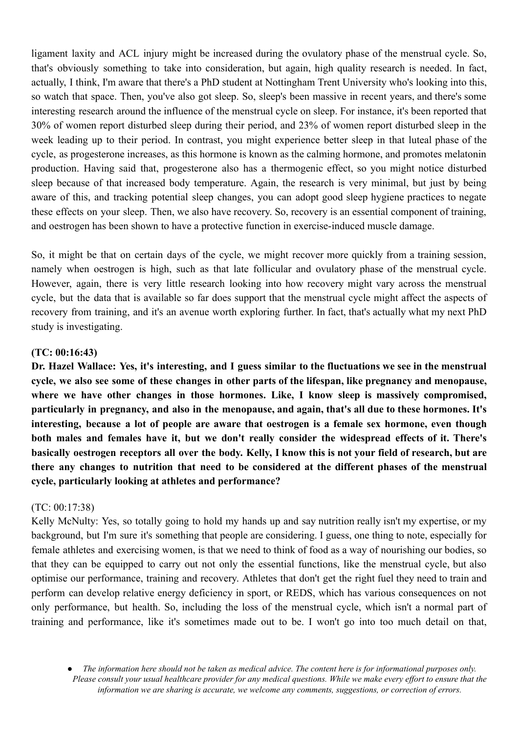ligament laxity and ACL injury might be increased during the ovulatory phase of the menstrual cycle. So, that's obviously something to take into consideration, but again, high quality research is needed. In fact, actually, I think, I'm aware that there's a PhD student at Nottingham Trent University who's looking into this, so watch that space. Then, you've also got sleep. So, sleep's been massive in recent years, and there's some interesting research around the influence of the menstrual cycle on sleep. For instance, it's been reported that 30% of women report disturbed sleep during their period, and 23% of women report disturbed sleep in the week leading up to their period. In contrast, you might experience better sleep in that luteal phase of the cycle, as progesterone increases, as this hormone is known as the calming hormone, and promotes melatonin production. Having said that, progesterone also has a thermogenic effect, so you might notice disturbed sleep because of that increased body temperature. Again, the research is very minimal, but just by being aware of this, and tracking potential sleep changes, you can adopt good sleep hygiene practices to negate these effects on your sleep. Then, we also have recovery. So, recovery is an essential component of training, and oestrogen has been shown to have a protective function in exercise-induced muscle damage.

So, it might be that on certain days of the cycle, we might recover more quickly from a training session, namely when oestrogen is high, such as that late follicular and ovulatory phase of the menstrual cycle. However, again, there is very little research looking into how recovery might vary across the menstrual cycle, but the data that is available so far does support that the menstrual cycle might affect the aspects of recovery from training, and it's an avenue worth exploring further. In fact, that's actually what my next PhD study is investigating.

### **(TC: 00:16:43)**

Dr. Hazel Wallace: Yes, it's interesting, and I guess similar to the fluctuations we see in the menstrual cycle, we also see some of these changes in other parts of the lifespan, like pregnancy and menopause, **where we have other changes in those hormones. Like, I know sleep is massively compromised, particularly in pregnancy, and also in the menopause, and again, that's all due to these hormones. It's interesting, because a lot of people are aware that oestrogen is a female sex hormone, even though both males and females have it, but we don't really consider the widespread effects of it. There's** basically oestrogen receptors all over the body. Kelly, I know this is not your field of research, but are **there any changes to nutrition that need to be considered at the different phases of the menstrual cycle, particularly looking at athletes and performance?**

#### (TC: 00:17:38)

Kelly McNulty: Yes, so totally going to hold my hands up and say nutrition really isn't my expertise, or my background, but I'm sure it's something that people are considering. I guess, one thing to note, especially for female athletes and exercising women, is that we need to think of food as a way of nourishing our bodies, so that they can be equipped to carry out not only the essential functions, like the menstrual cycle, but also optimise our performance, training and recovery. Athletes that don't get the right fuel they need to train and perform can develop relative energy deficiency in sport, or REDS, which has various consequences on not only performance, but health. So, including the loss of the menstrual cycle, which isn't a normal part of training and performance, like it's sometimes made out to be. I won't go into too much detail on that,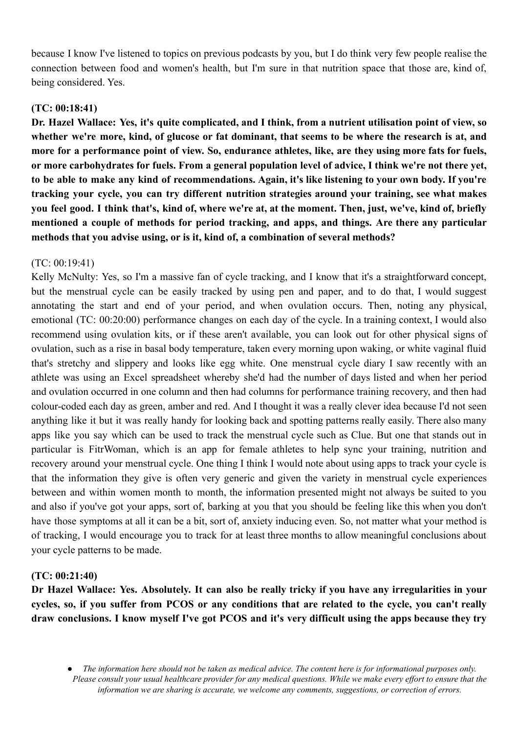because I know I've listened to topics on previous podcasts by you, but I do think very few people realise the connection between food and women's health, but I'm sure in that nutrition space that those are, kind of, being considered. Yes.

# **(TC: 00:18:41)**

Dr. Hazel Wallace: Yes, it's quite complicated, and I think, from a nutrient utilisation point of view, so whether we're more, kind, of glucose or fat dominant, that seems to be where the research is at, and more for a performance point of view. So, endurance athletes, like, are they using more fats for fuels, or more carbohydrates for fuels. From a general population level of advice, I think we're not there yet, to be able to make any kind of recommendations. Again, it's like listening to your own body. If you're **tracking your cycle, you can try different nutrition strategies around your training, see what makes** vou feel good. I think that's, kind of, where we're at, at the moment. Then, just, we've, kind of, briefly **mentioned a couple of methods for period tracking, and apps, and things. Are there any particular methods that you advise using, or is it, kind of, a combination of several methods?**

# (TC: 00:19:41)

Kelly McNulty: Yes, so I'm a massive fan of cycle tracking, and I know that it's a straightforward concept, but the menstrual cycle can be easily tracked by using pen and paper, and to do that, I would suggest annotating the start and end of your period, and when ovulation occurs. Then, noting any physical, emotional (TC: 00:20:00) performance changes on each day of the cycle. In a training context, I would also recommend using ovulation kits, or if these aren't available, you can look out for other physical signs of ovulation, such as a rise in basal body temperature, taken every morning upon waking, or white vaginal fluid that's stretchy and slippery and looks like egg white. One menstrual cycle diary I saw recently with an athlete was using an Excel spreadsheet whereby she'd had the number of days listed and when her period and ovulation occurred in one column and then had columns for performance training recovery, and then had colour-coded each day as green, amber and red. And I thought it was a really clever idea because I'd not seen anything like it but it was really handy for looking back and spotting patterns really easily. There also many apps like you say which can be used to track the menstrual cycle such as Clue. But one that stands out in particular is FitrWoman, which is an app for female athletes to help sync your training, nutrition and recovery around your menstrual cycle. One thing I think I would note about using apps to track your cycle is that the information they give is often very generic and given the variety in menstrual cycle experiences between and within women month to month, the information presented might not always be suited to you and also if you've got your apps, sort of, barking at you that you should be feeling like this when you don't have those symptoms at all it can be a bit, sort of, anxiety inducing even. So, not matter what your method is of tracking, I would encourage you to track for at least three months to allow meaningful conclusions about your cycle patterns to be made.

## **(TC: 00:21:40)**

Dr Hazel Wallace: Yes. Absolutely. It can also be really tricky if you have any irregularities in your cycles, so, if you suffer from PCOS or any conditions that are related to the cycle, you can't really draw conclusions. I know myself I've got PCOS and it's very difficult using the apps because they try

The information here should not be taken as medical advice. The content here is for informational purposes only. Please consult your usual healthcare provider for any medical questions. While we make every effort to ensure that the *information we are sharing is accurate, we welcome any comments, suggestions, or correction of errors.*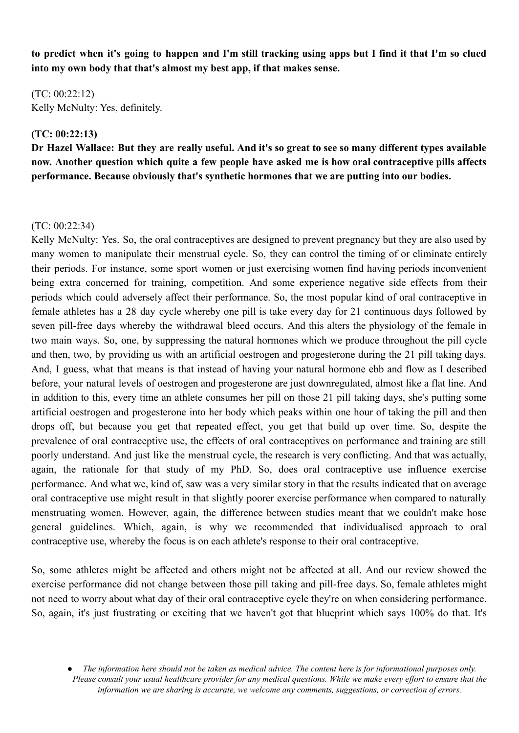to predict when it's going to happen and I'm still tracking using apps but I find it that I'm so clued **into my own body that that's almost my best app, if that makes sense.**

 $(TC: 00.22.12)$ Kelly McNulty: Yes, definitely.

### **(TC: 00:22:13)**

Dr Hazel Wallace: But they are really useful. And it's so great to see so many different types available **now. Another question which quite a few people have asked me is how oral contraceptive pills affects performance. Because obviously that's synthetic hormones that we are putting into our bodies.**

### $(TC: 00.22.34)$

Kelly McNulty: Yes. So, the oral contraceptives are designed to prevent pregnancy but they are also used by many women to manipulate their menstrual cycle. So, they can control the timing of or eliminate entirely their periods. For instance, some sport women or just exercising women find having periods inconvenient being extra concerned for training, competition. And some experience negative side effects from their periods which could adversely affect their performance. So, the most popular kind of oral contraceptive in female athletes has a 28 day cycle whereby one pill is take every day for 21 continuous days followed by seven pill-free days whereby the withdrawal bleed occurs. And this alters the physiology of the female in two main ways. So, one, by suppressing the natural hormones which we produce throughout the pill cycle and then, two, by providing us with an artificial oestrogen and progesterone during the 21 pill taking days. And, I guess, what that means is that instead of having your natural hormone ebb and flow as I described before, your natural levels of oestrogen and progesterone are just downregulated, almost like a flat line. And in addition to this, every time an athlete consumes her pill on those 21 pill taking days, she's putting some artificial oestrogen and progesterone into her body which peaks within one hour of taking the pill and then drops off, but because you get that repeated effect, you get that build up over time. So, despite the prevalence of oral contraceptive use, the effects of oral contraceptives on performance and training are still poorly understand. And just like the menstrual cycle, the research is very conflicting. And that was actually, again, the rationale for that study of my PhD. So, does oral contraceptive use influence exercise performance. And what we, kind of, saw was a very similar story in that the results indicated that on average oral contraceptive use might result in that slightly poorer exercise performance when compared to naturally menstruating women. However, again, the difference between studies meant that we couldn't make hose general guidelines. Which, again, is why we recommended that individualised approach to oral contraceptive use, whereby the focus is on each athlete's response to their oral contraceptive.

So, some athletes might be affected and others might not be affected at all. And our review showed the exercise performance did not change between those pill taking and pill-free days. So, female athletes might not need to worry about what day of their oral contraceptive cycle they're on when considering performance. So, again, it's just frustrating or exciting that we haven't got that blueprint which says 100% do that. It's

The information here should not be taken as medical advice. The content here is for informational purposes only. Please consult your usual healthcare provider for any medical questions. While we make every effort to ensure that the *information we are sharing is accurate, we welcome any comments, suggestions, or correction of errors.*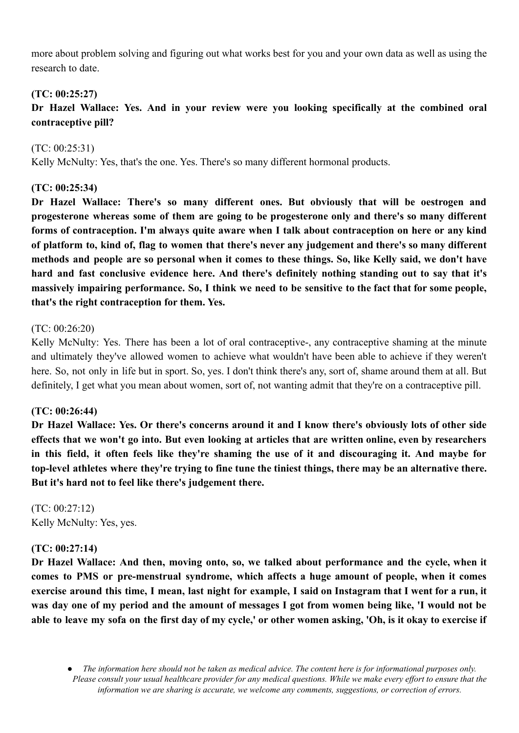more about problem solving and figuring out what works best for you and your own data as well as using the research to date.

# **(TC: 00:25:27)**

**Dr Hazel Wallace: Yes. And in your review were you looking specifically at the combined oral contraceptive pill?**

(TC: 00:25:31) Kelly McNulty: Yes, that's the one. Yes. There's so many different hormonal products.

# **(TC: 00:25:34)**

**Dr Hazel Wallace: There's so many different ones. But obviously that will be oestrogen and progesterone whereas some of them are going to be progesterone only and there's so many different forms of contraception. I'm always quite aware when I talk about contraception on here or any kind** of platform to, kind of, flag to women that there's never any judgement and there's so many different methods and people are so personal when it comes to these things. So, like Kelly said, we don't have **hard and fast conclusive evidence here. And there's definitely nothing standing out to say that it's** massively impairing performance. So, I think we need to be sensitive to the fact that for some people, **that's the right contraception for them. Yes.**

## (TC: 00:26:20)

Kelly McNulty: Yes. There has been a lot of oral contraceptive-, any contraceptive shaming at the minute and ultimately they've allowed women to achieve what wouldn't have been able to achieve if they weren't here. So, not only in life but in sport. So, yes. I don't think there's any, sort of, shame around them at all. But definitely, I get what you mean about women, sort of, not wanting admit that they're on a contraceptive pill.

# **(TC: 00:26:44)**

Dr Hazel Wallace: Yes. Or there's concerns around it and I know there's obviously lots of other side effects that we won't go into. But even looking at articles that are written online, even by researchers in this field, it often feels like they're shaming the use of it and discouraging it. And maybe for top-level athletes where they're trying to fine tune the tiniest things, there may be an alternative there. **But it's hard not to feel like there's judgement there.**

(TC: 00:27:12) Kelly McNulty: Yes, yes.

# **(TC: 00:27:14)**

**Dr Hazel Wallace: And then, moving onto, so, we talked about performance and the cycle, when it comes to PMS or pre-menstrual syndrome, which affects a huge amount of people, when it comes** exercise around this time, I mean, last night for example, I said on Instagram that I went for a run, it was day one of my period and the amount of messages I got from women being like, 'I would not be able to leave my sofa on the first day of my cycle,' or other women asking, 'Oh, is it okay to exercise if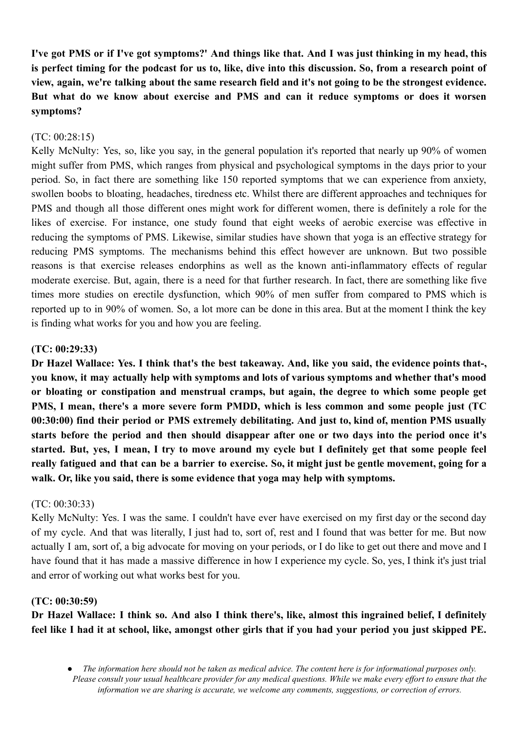I've got PMS or if I've got symptoms?' And things like that. And I was just thinking in my head, this is perfect timing for the podcast for us to, like, dive into this discussion. So, from a research point of view, again, we're talking about the same research field and it's not going to be the strongest evidence. **But what do we know about exercise and PMS and can it reduce symptoms or does it worsen symptoms?**

## (TC: 00:28:15)

Kelly McNulty: Yes, so, like you say, in the general population it's reported that nearly up 90% of women might suffer from PMS, which ranges from physical and psychological symptoms in the days prior to your period. So, in fact there are something like 150 reported symptoms that we can experience from anxiety, swollen boobs to bloating, headaches, tiredness etc. Whilst there are different approaches and techniques for PMS and though all those different ones might work for different women, there is definitely a role for the likes of exercise. For instance, one study found that eight weeks of aerobic exercise was effective in reducing the symptoms of PMS. Likewise, similar studies have shown that yoga is an effective strategy for reducing PMS symptoms. The mechanisms behind this effect however are unknown. But two possible reasons is that exercise releases endorphins as well as the known anti-inflammatory effects of regular moderate exercise. But, again, there is a need for that further research. In fact, there are something like five times more studies on erectile dysfunction, which 90% of men suffer from compared to PMS which is reported up to in 90% of women. So, a lot more can be done in this area. But at the moment I think the key is finding what works for you and how you are feeling.

## **(TC: 00:29:33)**

Dr Hazel Wallace: Yes. I think that's the best takeaway. And, like you said, the evidence points that-, **you know, it may actually help with symptoms and lots of various symptoms and whether that's mood or bloating or constipation and menstrual cramps, but again, the degree to which some people get PMS, I mean, there's a more severe form PMDD, which is less common and some people just (TC 00:30:00) find their period or PMS extremely debilitating. And just to, kind of, mention PMS usually starts before the period and then should disappear after one or two days into the period once it's** started. But, yes, I mean, I try to move around my cycle but I definitely get that some people feel really fatigued and that can be a barrier to exercise. So, it might just be gentle movement, going for a **walk. Or, like you said, there is some evidence that yoga may help with symptoms.**

## (TC: 00:30:33)

Kelly McNulty: Yes. I was the same. I couldn't have ever have exercised on my first day or the second day of my cycle. And that was literally, I just had to, sort of, rest and I found that was better for me. But now actually I am, sort of, a big advocate for moving on your periods, or I do like to get out there and move and I have found that it has made a massive difference in how I experience my cycle. So, yes, I think it's just trial and error of working out what works best for you.

## **(TC: 00:30:59)**

Dr Hazel Wallace: I think so. And also I think there's, like, almost this ingrained belief, I definitely feel like I had it at school, like, amongst other girls that if you had your period you just skipped PE.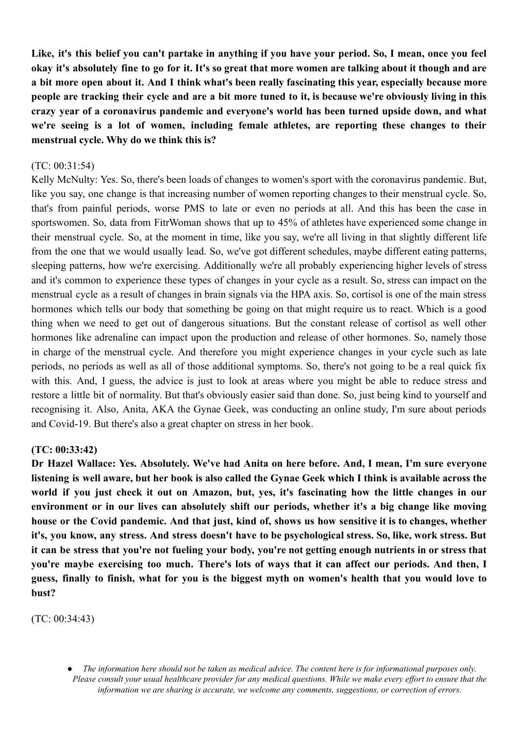Like, it's this belief vou can't partake in anything if you have vour period. So, I mean, once vou feel okay it's absolutely fine to go for it. It's so great that more women are talking about it though and are a bit more open about it. And I think what's been really fascinating this vear, especially because more people are tracking their cycle and are a bit more tuned to it, is because we're obviously living in this **crazy year of a coronavirus pandemic and everyone's world has been turned upside down, and what we're seeing is a lot of women, including female athletes, are reporting these changes to their menstrual cycle. Why do we think this is?**

### (TC: 00:31:54)

Kelly McNulty: Yes. So, there's been loads of changes to women's sport with the coronavirus pandemic. But, like you say, one change is that increasing number of women reporting changes to their menstrual cycle. So, that's from painful periods, worse PMS to late or even no periods at all. And this has been the case in sportswomen. So, data from FitrWoman shows that up to 45% of athletes have experienced some change in their menstrual cycle. So, at the moment in time, like you say, we're all living in that slightly different life from the one that we would usually lead. So, we've got different schedules, maybe different eating patterns, sleeping patterns, how we're exercising. Additionally we're all probably experiencing higher levels of stress and it's common to experience these types of changes in your cycle as a result. So, stress can impact on the menstrual cycle as a result of changes in brain signals via the HPA axis. So, cortisol is one of the main stress hormones which tells our body that something be going on that might require us to react. Which is a good thing when we need to get out of dangerous situations. But the constant release of cortisol as well other hormones like adrenaline can impact upon the production and release of other hormones. So, namely those in charge of the menstrual cycle. And therefore you might experience changes in your cycle such as late periods, no periods as well as all of those additional symptoms. So, there's not going to be a real quick fix with this. And, I guess, the advice is just to look at areas where you might be able to reduce stress and restore a little bit of normality. But that's obviously easier said than done. So, just being kind to yourself and recognising it. Also, Anita, AKA the Gynae Geek, was conducting an online study, I'm sure about periods and Covid-19. But there's also a great chapter on stress in her book.

#### **(TC: 00:33:42)**

**Dr Hazel Wallace: Yes. Absolutely. We've had Anita on here before. And, I mean, I'm sure everyone** listening is well aware, but her book is also called the Gynae Geek which I think is available across the world if you just check it out on Amazon, but, yes, it's fascinating how the little changes in our **environment or in our lives can absolutely shift our periods, whether it's a big change like moving** house or the Covid pandemic. And that just, kind of, shows us how sensitive it is to changes, whether it's, you know, any stress. And stress doesn't have to be psychological stress. So, like, work stress. But it can be stress that you're not fueling your body, you're not getting enough nutrients in or stress that **you're maybe exercising too much. There's lots of ways that it can affect our periods. And then, I** guess, finally to finish, what for you is the biggest myth on women's health that you would love to **bust?**

(TC: 00:34:43)

The information here should not be taken as medical advice. The content here is for informational purposes only. Please consult your usual healthcare provider for any medical questions. While we make every effort to ensure that the *information we are sharing is accurate, we welcome any comments, suggestions, or correction of errors.*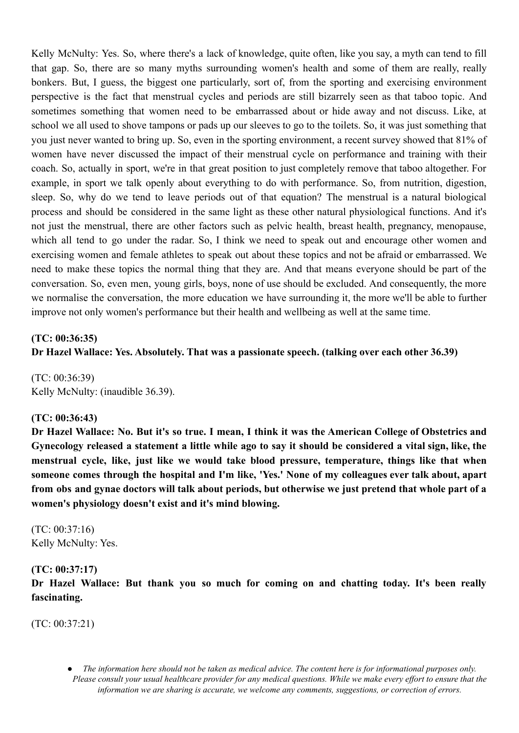Kelly McNulty: Yes. So, where there's a lack of knowledge, quite often, like you say, a myth can tend to fill that gap. So, there are so many myths surrounding women's health and some of them are really, really bonkers. But, I guess, the biggest one particularly, sort of, from the sporting and exercising environment perspective is the fact that menstrual cycles and periods are still bizarrely seen as that taboo topic. And sometimes something that women need to be embarrassed about or hide away and not discuss. Like, at school we all used to shove tampons or pads up our sleeves to go to the toilets. So, it was just something that you just never wanted to bring up. So, even in the sporting environment, a recent survey showed that 81% of women have never discussed the impact of their menstrual cycle on performance and training with their coach. So, actually in sport, we're in that great position to just completely remove that taboo altogether. For example, in sport we talk openly about everything to do with performance. So, from nutrition, digestion, sleep. So, why do we tend to leave periods out of that equation? The menstrual is a natural biological process and should be considered in the same light as these other natural physiological functions. And it's not just the menstrual, there are other factors such as pelvic health, breast health, pregnancy, menopause, which all tend to go under the radar. So, I think we need to speak out and encourage other women and exercising women and female athletes to speak out about these topics and not be afraid or embarrassed. We need to make these topics the normal thing that they are. And that means everyone should be part of the conversation. So, even men, young girls, boys, none of use should be excluded. And consequently, the more we normalise the conversation, the more education we have surrounding it, the more we'll be able to further improve not only women's performance but their health and wellbeing as well at the same time.

## **(TC: 00:36:35)**

**Dr Hazel Wallace: Yes. Absolutely. That was a passionate speech. (talking over each other 36.39)**

(TC: 00:36:39) Kelly McNulty: (inaudible 36.39).

## **(TC: 00:36:43)**

Dr Hazel Wallace: No. But it's so true. I mean, I think it was the American College of Obstetrics and Gynecology released a statement a little while ago to say it should be considered a vital sign, like, the **menstrual cycle, like, just like we would take blood pressure, temperature, things like that when someone comes through the hospital and I'm like, 'Yes.' None of my colleagues ever talk about, apart** from obs and gynae doctors will talk about periods, but otherwise we just pretend that whole part of a **women's physiology doesn't exist and it's mind blowing.**

(TC: 00:37:16) Kelly McNulty: Yes.

#### **(TC: 00:37:17)**

**Dr Hazel Wallace: But thank you so much for coming on and chatting today. It's been really fascinating.**

(TC: 00:37:21)